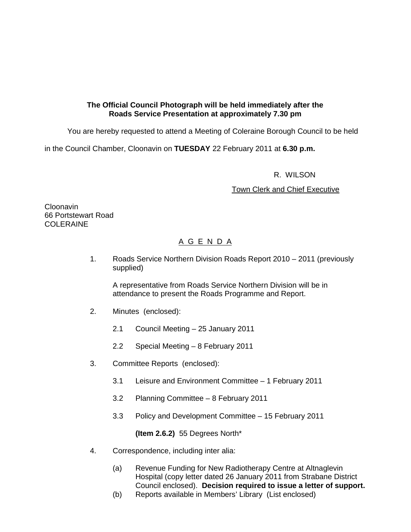## **The Official Council Photograph will be held immediately after the Roads Service Presentation at approximately 7.30 pm**

You are hereby requested to attend a Meeting of Coleraine Borough Council to be held

in the Council Chamber, Cloonavin on **TUESDAY** 22 February 2011 at **6.30 p.m.** 

## R. WILSON

## Town Clerk and Chief Executive

**Cloonavin** 66 Portstewart Road COLERAINE

## A G E N D A

1. Roads Service Northern Division Roads Report 2010 – 2011 (previously supplied)

A representative from Roads Service Northern Division will be in attendance to present the Roads Programme and Report.

- 2. Minutes (enclosed):
	- 2.1 Council Meeting 25 January 2011
	- 2.2 Special Meeting 8 February 2011
- 3. Committee Reports (enclosed):
	- 3.1 Leisure and Environment Committee 1 February 2011
	- 3.2 Planning Committee 8 February 2011
	- 3.3 Policy and Development Committee 15 February 2011

**(Item 2.6.2)** 55 Degrees North\*

- 4. Correspondence, including inter alia:
	- (a) Revenue Funding for New Radiotherapy Centre at Altnaglevin Hospital (copy letter dated 26 January 2011 from Strabane District Council enclosed). **Decision required to issue a letter of support.**
	- (b) Reports available in Members' Library (List enclosed)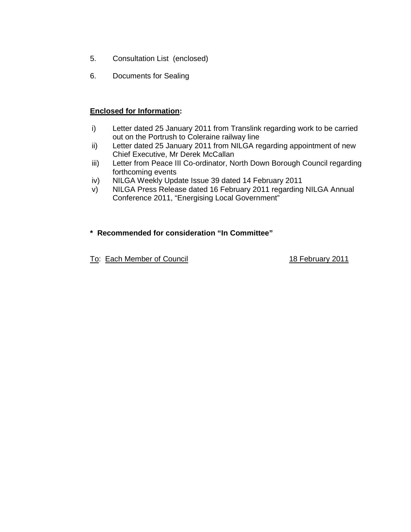- 5. Consultation List (enclosed)
- 6. Documents for Sealing

## **Enclosed for Information:**

- i) Letter dated 25 January 2011 from Translink regarding work to be carried out on the Portrush to Coleraine railway line
- ii) Letter dated 25 January 2011 from NILGA regarding appointment of new Chief Executive, Mr Derek McCallan
- iii) Letter from Peace III Co-ordinator, North Down Borough Council regarding forthcoming events
- iv) NILGA Weekly Update Issue 39 dated 14 February 2011
- v) NILGA Press Release dated 16 February 2011 regarding NILGA Annual Conference 2011, "Energising Local Government"

## **\* Recommended for consideration "In Committee"**

To: Each Member of Council 18 February 2011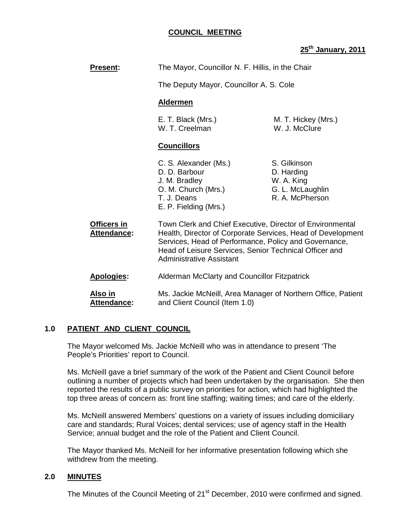## **COUNCIL MEETING**

## **25th January, 2011**

| <b>Present:</b>                      | The Mayor, Councillor N. F. Hillis, in the Chair                                                                                                                                                                                                                               |                                                                                 |
|--------------------------------------|--------------------------------------------------------------------------------------------------------------------------------------------------------------------------------------------------------------------------------------------------------------------------------|---------------------------------------------------------------------------------|
|                                      | The Deputy Mayor, Councillor A. S. Cole                                                                                                                                                                                                                                        |                                                                                 |
|                                      | <b>Aldermen</b>                                                                                                                                                                                                                                                                |                                                                                 |
|                                      | E. T. Black (Mrs.)<br>W. T. Creelman                                                                                                                                                                                                                                           | M. T. Hickey (Mrs.)<br>W. J. McClure                                            |
|                                      | <b>Councillors</b>                                                                                                                                                                                                                                                             |                                                                                 |
|                                      | C. S. Alexander (Ms.)<br>D. D. Barbour<br>J. M. Bradley<br>O. M. Church (Mrs.)<br>T. J. Deans<br>E. P. Fielding (Mrs.)                                                                                                                                                         | S. Gilkinson<br>D. Harding<br>W. A. King<br>G. L. McLaughlin<br>R. A. McPherson |
| Officers in<br><b>Attendance:</b>    | Town Clerk and Chief Executive, Director of Environmental<br>Health, Director of Corporate Services, Head of Development<br>Services, Head of Performance, Policy and Governance,<br>Head of Leisure Services, Senior Technical Officer and<br><b>Administrative Assistant</b> |                                                                                 |
| <b>Apologies:</b>                    | Alderman McClarty and Councillor Fitzpatrick<br>Ms. Jackie McNeill, Area Manager of Northern Office, Patient<br>and Client Council (Item 1.0)                                                                                                                                  |                                                                                 |
| <u>Also in</u><br><b>Attendance:</b> |                                                                                                                                                                                                                                                                                |                                                                                 |

## **1.0 PATIENT AND CLIENT COUNCIL**

The Mayor welcomed Ms. Jackie McNeill who was in attendance to present 'The People's Priorities' report to Council.

Ms. McNeill gave a brief summary of the work of the Patient and Client Council before outlining a number of projects which had been undertaken by the organisation. She then reported the results of a public survey on priorities for action, which had highlighted the top three areas of concern as: front line staffing; waiting times; and care of the elderly.

Ms. McNeill answered Members' questions on a variety of issues including domiciliary care and standards; Rural Voices; dental services; use of agency staff in the Health Service; annual budget and the role of the Patient and Client Council.

The Mayor thanked Ms. McNeill for her informative presentation following which she withdrew from the meeting.

## **2.0 MINUTES**

The Minutes of the Council Meeting of 21<sup>st</sup> December, 2010 were confirmed and signed.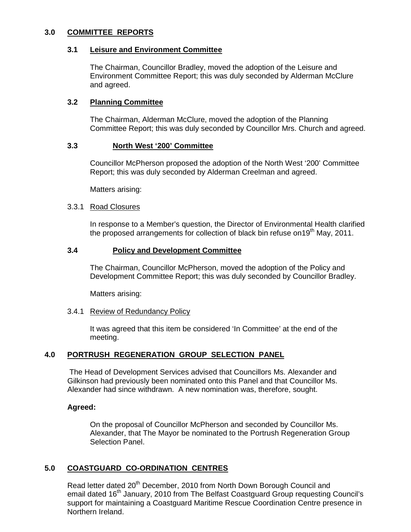## **3.0 COMMITTEE REPORTS**

#### **3.1 Leisure and Environment Committee**

The Chairman, Councillor Bradley, moved the adoption of the Leisure and Environment Committee Report; this was duly seconded by Alderman McClure and agreed.

### **3.2 Planning Committee**

The Chairman, Alderman McClure, moved the adoption of the Planning Committee Report; this was duly seconded by Councillor Mrs. Church and agreed.

#### **3.3 North West '200' Committee**

Councillor McPherson proposed the adoption of the North West '200' Committee Report; this was duly seconded by Alderman Creelman and agreed.

Matters arising:

#### 3.3.1 Road Closures

 In response to a Member's question, the Director of Environmental Health clarified the proposed arrangements for collection of black bin refuse on 19<sup>th</sup> May, 2011.

#### **3.4 Policy and Development Committee**

 The Chairman, Councillor McPherson, moved the adoption of the Policy and Development Committee Report; this was duly seconded by Councillor Bradley.

Matters arising:

#### 3.4.1 Review of Redundancy Policy

 It was agreed that this item be considered 'In Committee' at the end of the meeting.

## **4.0 PORTRUSH REGENERATION GROUP SELECTION PANEL**

 The Head of Development Services advised that Councillors Ms. Alexander and Gilkinson had previously been nominated onto this Panel and that Councillor Ms. Alexander had since withdrawn. A new nomination was, therefore, sought.

#### **Agreed:**

On the proposal of Councillor McPherson and seconded by Councillor Ms. Alexander, that The Mayor be nominated to the Portrush Regeneration Group Selection Panel.

## **5.0 COASTGUARD CO-ORDINATION CENTRES**

Read letter dated 20<sup>th</sup> December, 2010 from North Down Borough Council and email dated 16<sup>th</sup> January, 2010 from The Belfast Coastguard Group requesting Council's support for maintaining a Coastguard Maritime Rescue Coordination Centre presence in Northern Ireland.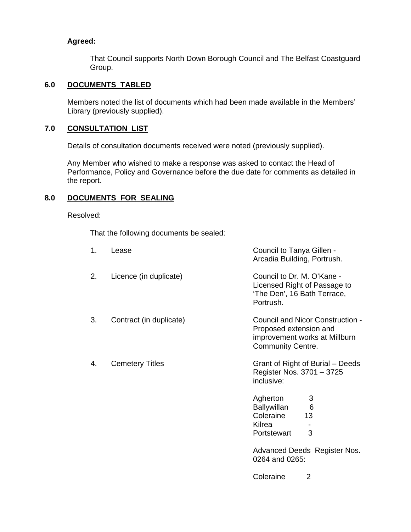## **Agreed:**

That Council supports North Down Borough Council and The Belfast Coastguard Group.

## **6.0 DOCUMENTS TABLED**

 Members noted the list of documents which had been made available in the Members' Library (previously supplied).

## **7.0 CONSULTATION LIST**

Details of consultation documents received were noted (previously supplied).

 Any Member who wished to make a response was asked to contact the Head of Performance, Policy and Governance before the due date for comments as detailed in the report.

## **8.0 DOCUMENTS FOR SEALING**

Resolved:

That the following documents be sealed:

| 1. | Lease                   | Council to Tanya Gillen -<br>Arcadia Building, Portrush.                                                                |
|----|-------------------------|-------------------------------------------------------------------------------------------------------------------------|
| 2. | Licence (in duplicate)  | Council to Dr. M. O'Kane -<br>Licensed Right of Passage to<br>'The Den', 16 Bath Terrace,<br>Portrush.                  |
| 3. | Contract (in duplicate) | Council and Nicor Construction -<br>Proposed extension and<br>improvement works at Millburn<br><b>Community Centre.</b> |
| 4. | <b>Cemetery Titles</b>  | Grant of Right of Burial – Deeds<br>Register Nos. 3701 - 3725<br>inclusive:                                             |
|    |                         | Agherton<br>3<br>Ballywillan<br>6<br>Coleraine<br>13<br>Kilrea<br>3<br>Portstewart                                      |
|    |                         |                                                                                                                         |

Advanced Deeds Register Nos. 0264 and 0265:

Coleraine 2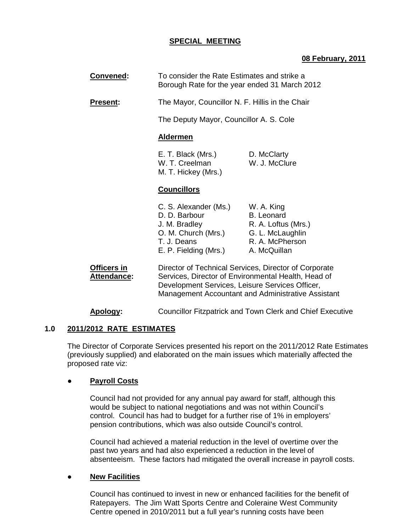## **SPECIAL MEETING**

## **08 February, 2011**

 **Convened:** To consider the Rate Estimates and strike a Borough Rate for the year ended 31 March 2012

**Present:** The Mayor, Councillor N. F. Hillis in the Chair

The Deputy Mayor, Councillor A. S. Cole

#### **Aldermen**

 E. T. Black (Mrs.) D. McClarty W. T. Creelman W. J. McClure M. T. Hickey (Mrs.)

#### **Councillors**

| R. A. Loftus (Mrs.) |
|---------------------|
|                     |
|                     |
|                     |
|                     |

 **Officers in** Director of Technical Services, Director of Corporate Attendance: Services, Director of Environmental Health, Head of Development Services, Leisure Services Officer, Management Accountant and Administrative Assistant

**Apology:** Councillor Fitzpatrick and Town Clerk and Chief Executive

#### **1.0 2011/2012 RATE ESTIMATES**

 The Director of Corporate Services presented his report on the 2011/2012 Rate Estimates (previously supplied) and elaborated on the main issues which materially affected the proposed rate viz:

## **Payroll Costs**

 Council had not provided for any annual pay award for staff, although this would be subject to national negotiations and was not within Council's control. Council has had to budget for a further rise of 1% in employers' pension contributions, which was also outside Council's control.

 Council had achieved a material reduction in the level of overtime over the past two years and had also experienced a reduction in the level of absenteeism. These factors had mitigated the overall increase in payroll costs.

## ● **New Facilities**

 Council has continued to invest in new or enhanced facilities for the benefit of Ratepayers. The Jim Watt Sports Centre and Coleraine West Community Centre opened in 2010/2011 but a full year's running costs have been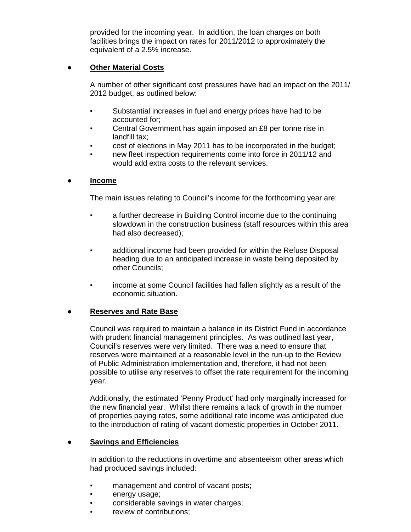provided for the incoming year. In addition, the loan charges on both facilities brings the impact on rates for 2011/2012 to approximately the equivalent of a 2.5% increase.

## ● **Other Material Costs**

 A number of other significant cost pressures have had an impact on the 2011/ 2012 budget, as outlined below:

- Substantial increases in fuel and energy prices have had to be accounted for;
- **Central Government has again imposed an £8 per tonne rise in** landfill tax;
- cost of elections in May 2011 has to be incorporated in the budget;
- new fleet inspection requirements come into force in 2011/12 and would add extra costs to the relevant services.

## ● **Income**

The main issues relating to Council's income for the forthcoming year are:

- a further decrease in Building Control income due to the continuing slowdown in the construction business (staff resources within this area had also decreased);
- additional income had been provided for within the Refuse Disposal heading due to an anticipated increase in waste being deposited by other Councils;
- income at some Council facilities had fallen slightly as a result of the economic situation.

## **Reserves and Rate Base**

 Council was required to maintain a balance in its District Fund in accordance with prudent financial management principles. As was outlined last year, Council's reserves were very limited. There was a need to ensure that reserves were maintained at a reasonable level in the run-up to the Review of Public Administration implementation and, therefore, it had not been possible to utilise any reserves to offset the rate requirement for the incoming year.

 Additionally, the estimated 'Penny Product' had only marginally increased for the new financial year. Whilst there remains a lack of growth in the number of properties paying rates, some additional rate income was anticipated due to the introduction of rating of vacant domestic properties in October 2011.

## **Savings and Efficiencies**

 In addition to the reductions in overtime and absenteeism other areas which had produced savings included:

- **•** management and control of vacant posts;
- energy usage;
- considerable savings in water charges;
- review of contributions: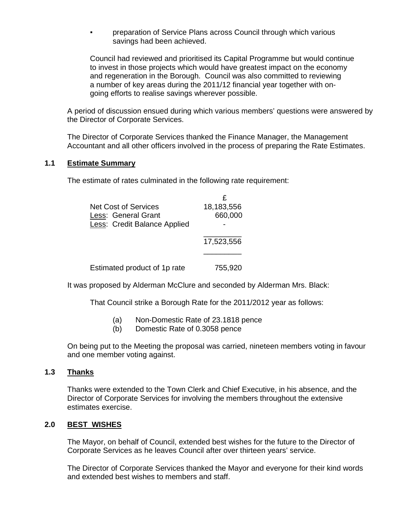preparation of Service Plans across Council through which various savings had been achieved.

 Council had reviewed and prioritised its Capital Programme but would continue to invest in those projects which would have greatest impact on the economy and regeneration in the Borough. Council was also committed to reviewing a number of key areas during the 2011/12 financial year together with on going efforts to realise savings wherever possible.

 A period of discussion ensued during which various members' questions were answered by the Director of Corporate Services.

 The Director of Corporate Services thanked the Finance Manager, the Management Accountant and all other officers involved in the process of preparing the Rate Estimates.

## **1.1 Estimate Summary**

The estimate of rates culminated in the following rate requirement:

| <b>Net Cost of Services</b>  | 18,183,556 |
|------------------------------|------------|
| Less: General Grant          | 660,000    |
| Less: Credit Balance Applied |            |
|                              | 17,523,556 |
|                              |            |
| Estimated product of 1p rate | 755,920    |

It was proposed by Alderman McClure and seconded by Alderman Mrs. Black:

That Council strike a Borough Rate for the 2011/2012 year as follows:

- (a) Non-Domestic Rate of 23.1818 pence
- (b) Domestic Rate of 0.3058 pence

 On being put to the Meeting the proposal was carried, nineteen members voting in favour and one member voting against.

## **1.3 Thanks**

Thanks were extended to the Town Clerk and Chief Executive, in his absence, and the Director of Corporate Services for involving the members throughout the extensive estimates exercise.

## **2.0 BEST WISHES**

 The Mayor, on behalf of Council, extended best wishes for the future to the Director of Corporate Services as he leaves Council after over thirteen years' service.

 The Director of Corporate Services thanked the Mayor and everyone for their kind words and extended best wishes to members and staff.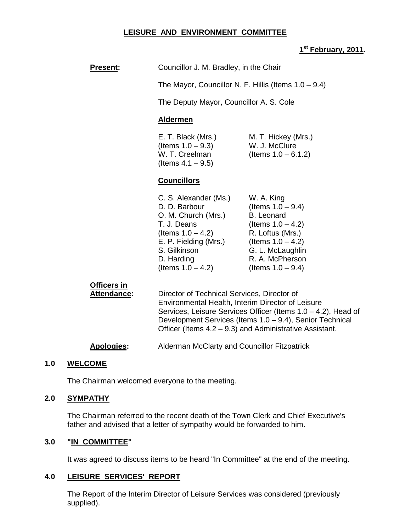## **LEISURE AND ENVIRONMENT COMMITTEE**

## **1 st February, 2011.**

| <b>Present:</b>                          | Councillor J. M. Bradley, in the Chair                                                                                                                                                                                                                                                   |                                                                                                                                                                                            |  |
|------------------------------------------|------------------------------------------------------------------------------------------------------------------------------------------------------------------------------------------------------------------------------------------------------------------------------------------|--------------------------------------------------------------------------------------------------------------------------------------------------------------------------------------------|--|
|                                          | The Mayor, Councillor N. F. Hillis (Items $1.0 - 9.4$ )                                                                                                                                                                                                                                  |                                                                                                                                                                                            |  |
|                                          | The Deputy Mayor, Councillor A. S. Cole                                                                                                                                                                                                                                                  |                                                                                                                                                                                            |  |
|                                          | <b>Aldermen</b>                                                                                                                                                                                                                                                                          |                                                                                                                                                                                            |  |
|                                          | E. T. Black (Mrs.)<br>(Items $1.0 - 9.3$ )<br>W. T. Creelman<br>(Items $4.1 - 9.5$ )                                                                                                                                                                                                     | M. T. Hickey (Mrs.)<br>W. J. McClure<br>(Items $1.0 - 6.1.2$ )                                                                                                                             |  |
|                                          | <b>Councillors</b>                                                                                                                                                                                                                                                                       |                                                                                                                                                                                            |  |
|                                          | C. S. Alexander (Ms.)<br>D. D. Barbour<br>O. M. Church (Mrs.)<br>T. J. Deans<br>(Items $1.0 - 4.2$ )<br>E. P. Fielding (Mrs.)<br>S. Gilkinson<br>D. Harding<br>(Items $1.0 - 4.2$ )                                                                                                      | W. A. King<br>(Items $1.0 - 9.4$ )<br><b>B.</b> Leonard<br>(Items $1.0 - 4.2$ )<br>R. Loftus (Mrs.)<br>(Items $1.0 - 4.2$ )<br>G. L. McLaughlin<br>R. A. McPherson<br>(Items $1.0 - 9.4$ ) |  |
| <b>Officers in</b><br><b>Attendance:</b> | Director of Technical Services, Director of<br>Environmental Health, Interim Director of Leisure<br>Services, Leisure Services Officer (Items 1.0 – 4.2), Head of<br>Development Services (Items 1.0 - 9.4), Senior Technical<br>Officer (Items 4.2 – 9.3) and Administrative Assistant. |                                                                                                                                                                                            |  |

# **Apologies:** Alderman McClarty and Councillor Fitzpatrick

#### **1.0 WELCOME**

The Chairman welcomed everyone to the meeting.

#### **2.0 SYMPATHY**

 The Chairman referred to the recent death of the Town Clerk and Chief Executive's father and advised that a letter of sympathy would be forwarded to him.

#### **3.0 "IN COMMITTEE"**

It was agreed to discuss items to be heard "In Committee" at the end of the meeting.

#### **4.0 LEISURE SERVICES' REPORT**

 The Report of the Interim Director of Leisure Services was considered (previously supplied).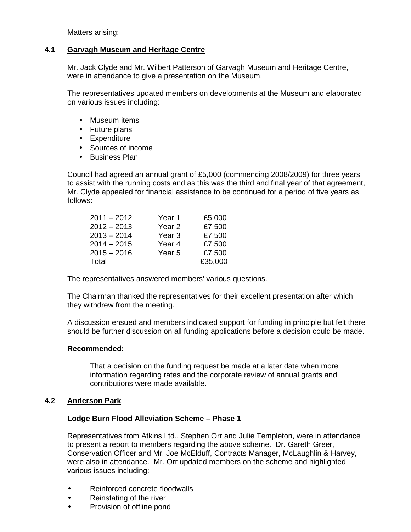Matters arising:

## **4.1 Garvagh Museum and Heritage Centre**

Mr. Jack Clyde and Mr. Wilbert Patterson of Garvagh Museum and Heritage Centre, were in attendance to give a presentation on the Museum.

The representatives updated members on developments at the Museum and elaborated on various issues including:

- Museum items
- Future plans
- Expenditure
- Sources of income
- Business Plan

Council had agreed an annual grant of £5,000 (commencing 2008/2009) for three years to assist with the running costs and as this was the third and final year of that agreement, Mr. Clyde appealed for financial assistance to be continued for a period of five years as follows:

| $2011 - 2012$ | Year 1            | £5,000  |
|---------------|-------------------|---------|
| $2012 - 2013$ | Year <sub>2</sub> | £7,500  |
| $2013 - 2014$ | Year <sub>3</sub> | £7,500  |
| $2014 - 2015$ | Year <sub>4</sub> | £7,500  |
| $2015 - 2016$ | Year <sub>5</sub> | £7,500  |
| Total         |                   | £35,000 |

The representatives answered members' various questions.

The Chairman thanked the representatives for their excellent presentation after which they withdrew from the meeting.

A discussion ensued and members indicated support for funding in principle but felt there should be further discussion on all funding applications before a decision could be made.

## **Recommended:**

 That a decision on the funding request be made at a later date when more information regarding rates and the corporate review of annual grants and contributions were made available.

## **4.2 Anderson Park**

## **Lodge Burn Flood Alleviation Scheme – Phase 1**

 Representatives from Atkins Ltd., Stephen Orr and Julie Templeton, were in attendance to present a report to members regarding the above scheme. Dr. Gareth Greer, Conservation Officer and Mr. Joe McElduff, Contracts Manager, McLaughlin & Harvey, were also in attendance. Mr. Orr updated members on the scheme and highlighted various issues including:

- Reinforced concrete floodwalls
- Reinstating of the river
- Provision of offline pond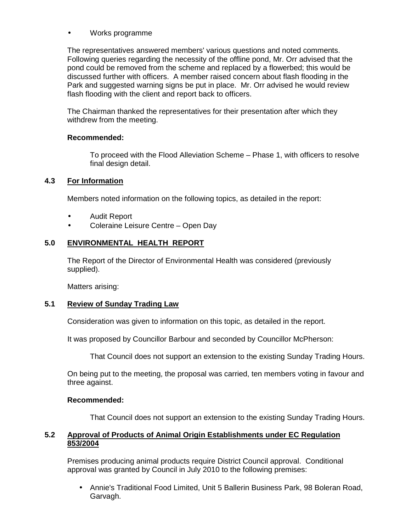## • Works programme

 The representatives answered members' various questions and noted comments. Following queries regarding the necessity of the offline pond, Mr. Orr advised that the pond could be removed from the scheme and replaced by a flowerbed; this would be discussed further with officers. A member raised concern about flash flooding in the Park and suggested warning signs be put in place. Mr. Orr advised he would review flash flooding with the client and report back to officers.

 The Chairman thanked the representatives for their presentation after which they withdrew from the meeting.

## **Recommended:**

 To proceed with the Flood Alleviation Scheme – Phase 1, with officers to resolve final design detail.

## **4.3 For Information**

Members noted information on the following topics, as detailed in the report:

- Audit Report
- Coleraine Leisure Centre Open Day

## **5.0 ENVIRONMENTAL HEALTH REPORT**

 The Report of the Director of Environmental Health was considered (previously supplied).

Matters arising:

## **5.1 Review of Sunday Trading Law**

Consideration was given to information on this topic, as detailed in the report.

It was proposed by Councillor Barbour and seconded by Councillor McPherson:

That Council does not support an extension to the existing Sunday Trading Hours.

 On being put to the meeting, the proposal was carried, ten members voting in favour and three against.

## **Recommended:**

That Council does not support an extension to the existing Sunday Trading Hours.

## **5.2 Approval of Products of Animal Origin Establishments under EC Regulation 853/2004**

Premises producing animal products require District Council approval. Conditional approval was granted by Council in July 2010 to the following premises:

• Annie's Traditional Food Limited, Unit 5 Ballerin Business Park, 98 Boleran Road, Garvagh.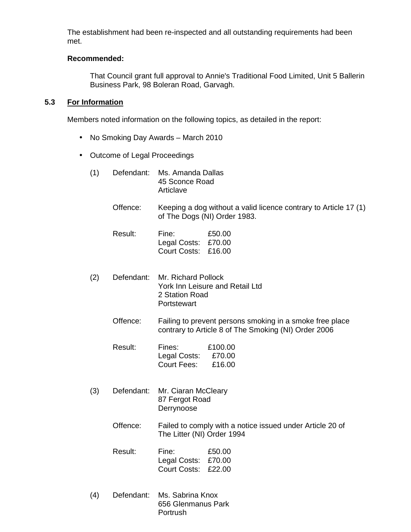The establishment had been re-inspected and all outstanding requirements had been met.

#### **Recommended:**

 That Council grant full approval to Annie's Traditional Food Limited, Unit 5 Ballerin Business Park, 98 Boleran Road, Garvagh.

## **5.3 For Information**

Members noted information on the following topics, as detailed in the report:

- No Smoking Day Awards March 2010
- Outcome of Legal Proceedings
	- (1) Defendant: Ms. Amanda Dallas 45 Sconce Road Articlave
		- Offence: Keeping a dog without a valid licence contrary to Article 17 (1) of The Dogs (NI) Order 1983.
		- Result: Fine: £50.00 Legal Costs: £70.00 Court Costs: £16.00
	- (2) Defendant: Mr. Richard Pollock York Inn Leisure and Retail Ltd 2 Station Road **Portstewart** 
		- Offence: Failing to prevent persons smoking in a smoke free place contrary to Article 8 of The Smoking (NI) Order 2006
		- Result: Fines: £100.00 Legal Costs: £70.00 Court Fees: £16.00
	- (3) Defendant: Mr. Ciaran McCleary 87 Fergot Road Derrynoose
		- Offence: Failed to comply with a notice issued under Article 20 of The Litter (NI) Order 1994
		- Result: Fine: £50.00 Legal Costs: £70.00 Court Costs: £22.00
	- (4) Defendant: Ms. Sabrina Knox 656 Glenmanus Park Portrush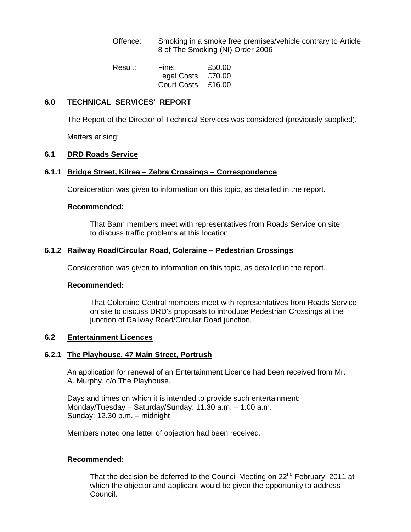Offence: Smoking in a smoke free premises/vehicle contrary to Article 8 of The Smoking (NI) Order 2006

| Result: | Fine:               | £50.00 |
|---------|---------------------|--------|
|         | Legal Costs: £70.00 |        |
|         | Court Costs: £16.00 |        |

## **6.0 TECHNICAL SERVICES' REPORT**

The Report of the Director of Technical Services was considered (previously supplied).

Matters arising:

## **6.1 DRD Roads Service**

## **6.1.1 Bridge Street, Kilrea – Zebra Crossings – Correspondence**

Consideration was given to information on this topic, as detailed in the report.

#### **Recommended:**

 That Bann members meet with representatives from Roads Service on site to discuss traffic problems at this location.

#### **6.1.2 Railway Road/Circular Road, Coleraine – Pedestrian Crossings**

Consideration was given to information on this topic, as detailed in the report.

#### **Recommended:**

That Coleraine Central members meet with representatives from Roads Service on site to discuss DRD's proposals to introduce Pedestrian Crossings at the junction of Railway Road/Circular Road junction.

## **6.2 Entertainment Licences**

## **6.2.1 The Playhouse, 47 Main Street, Portrush**

 An application for renewal of an Entertainment Licence had been received from Mr. A. Murphy, c/o The Playhouse.

Days and times on which it is intended to provide such entertainment: Monday/Tuesday – Saturday/Sunday: 11.30 a.m. – 1.00 a.m. Sunday: 12.30 p.m. – midnight

Members noted one letter of objection had been received.

#### **Recommended:**

That the decision be deferred to the Council Meeting on 22<sup>nd</sup> February, 2011 at which the objector and applicant would be given the opportunity to address Council.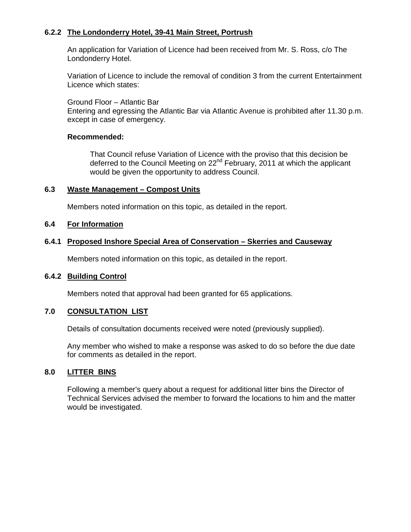## **6.2.2 The Londonderry Hotel, 39-41 Main Street, Portrush**

 An application for Variation of Licence had been received from Mr. S. Ross, c/o The Londonderry Hotel.

 Variation of Licence to include the removal of condition 3 from the current Entertainment Licence which states:

 Ground Floor – Atlantic Bar Entering and egressing the Atlantic Bar via Atlantic Avenue is prohibited after 11.30 p.m. except in case of emergency.

## **Recommended:**

 That Council refuse Variation of Licence with the proviso that this decision be deferred to the Council Meeting on 22<sup>nd</sup> February, 2011 at which the applicant would be given the opportunity to address Council.

#### **6.3 Waste Management – Compost Units**

Members noted information on this topic, as detailed in the report.

#### **6.4 For Information**

## **6.4.1 Proposed Inshore Special Area of Conservation – Skerries and Causeway**

Members noted information on this topic, as detailed in the report.

#### **6.4.2 Building Control**

Members noted that approval had been granted for 65 applications.

## **7.0 CONSULTATION LIST**

Details of consultation documents received were noted (previously supplied).

 Any member who wished to make a response was asked to do so before the due date for comments as detailed in the report.

## **8.0 LITTER BINS**

 Following a member's query about a request for additional litter bins the Director of Technical Services advised the member to forward the locations to him and the matter would be investigated.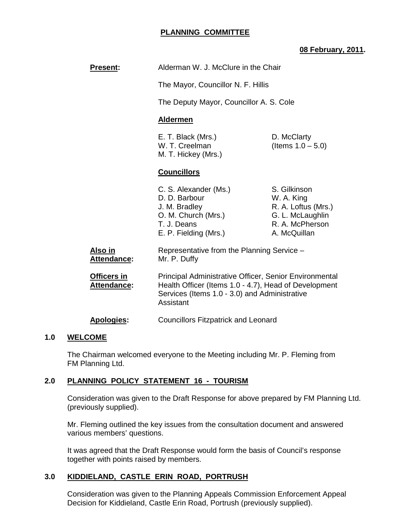## **PLANNING COMMITTEE**

## **08 February, 2011.**

| <b>Present:</b>                   | Alderman W. J. McClure in the Chair                                                                                                                                           |                                                                                                          |
|-----------------------------------|-------------------------------------------------------------------------------------------------------------------------------------------------------------------------------|----------------------------------------------------------------------------------------------------------|
|                                   | The Mayor, Councillor N. F. Hillis                                                                                                                                            |                                                                                                          |
|                                   | The Deputy Mayor, Councillor A. S. Cole                                                                                                                                       |                                                                                                          |
|                                   | <b>Aldermen</b>                                                                                                                                                               |                                                                                                          |
|                                   | E. T. Black (Mrs.)<br>W. T. Creelman<br>M. T. Hickey (Mrs.)                                                                                                                   | D. McClarty<br>(Items $1.0 - 5.0$ )                                                                      |
|                                   | <b>Councillors</b>                                                                                                                                                            |                                                                                                          |
|                                   | C. S. Alexander (Ms.)<br>D. D. Barbour<br>J. M. Bradley<br>O. M. Church (Mrs.)<br>T. J. Deans<br>E. P. Fielding (Mrs.)                                                        | S. Gilkinson<br>W. A. King<br>R. A. Loftus (Mrs.)<br>G. L. McLaughlin<br>R. A. McPherson<br>A. McQuillan |
| Also in<br><b>Attendance:</b>     | Representative from the Planning Service -<br>Mr. P. Duffy                                                                                                                    |                                                                                                          |
| Officers in<br><b>Attendance:</b> | Principal Administrative Officer, Senior Environmental<br>Health Officer (Items 1.0 - 4.7), Head of Development<br>Services (Items 1.0 - 3.0) and Administrative<br>Assistant |                                                                                                          |
| <b>Apologies:</b>                 | <b>Councillors Fitzpatrick and Leonard</b>                                                                                                                                    |                                                                                                          |

## **1.0 WELCOME**

 The Chairman welcomed everyone to the Meeting including Mr. P. Fleming from FM Planning Ltd.

## **2.0 PLANNING POLICY STATEMENT 16 - TOURISM**

 Consideration was given to the Draft Response for above prepared by FM Planning Ltd. (previously supplied).

 Mr. Fleming outlined the key issues from the consultation document and answered various members' questions.

 It was agreed that the Draft Response would form the basis of Council's response together with points raised by members.

#### **3.0 KIDDIELAND, CASTLE ERIN ROAD, PORTRUSH**

 Consideration was given to the Planning Appeals Commission Enforcement Appeal Decision for Kiddieland, Castle Erin Road, Portrush (previously supplied).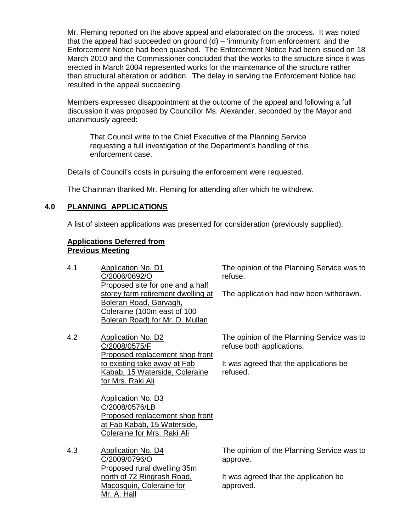Mr. Fleming reported on the above appeal and elaborated on the process. It was noted that the appeal had succeeded on ground (d) – 'immunity from enforcement' and the Enforcement Notice had been quashed. The Enforcement Notice had been issued on 18 March 2010 and the Commissioner concluded that the works to the structure since it was erected in March 2004 represented works for the maintenance of the structure rather than structural alteration or addition. The delay in serving the Enforcement Notice had resulted in the appeal succeeding.

 Members expressed disappointment at the outcome of the appeal and following a full discussion it was proposed by Councillor Ms. Alexander, seconded by the Mayor and unanimously agreed:

 That Council write to the Chief Executive of the Planning Service requesting a full investigation of the Department's handling of this enforcement case.

Details of Council's costs in pursuing the enforcement were requested.

The Chairman thanked Mr. Fleming for attending after which he withdrew.

## **4.0 PLANNING APPLICATIONS**

A list of sixteen applications was presented for consideration (previously supplied).

#### **Applications Deferred from Previous Meeting**

| 4.1 | Application No. D1<br>C/2006/0692/O<br>Proposed site for one and a half                                                                                       | The opinion of the Planning Service was to<br>refuse.                                                                         |
|-----|---------------------------------------------------------------------------------------------------------------------------------------------------------------|-------------------------------------------------------------------------------------------------------------------------------|
|     | storey farm retirement dwelling at<br>Boleran Road, Garvagh,<br>Coleraine (100m east of 100<br>Boleran Road) for Mr. D. Mullan                                | The application had now been withdrawn.                                                                                       |
| 4.2 | Application No. D2<br>C/2008/0575/F<br>Proposed replacement shop front<br>to existing take away at Fab<br>Kabab, 15 Waterside, Coleraine<br>for Mrs. Raki Ali | The opinion of the Planning Service was to<br>refuse both applications.<br>It was agreed that the applications be<br>refused. |
|     | Application No. D3<br>C/2008/0576/LB<br>Proposed replacement shop front<br>at Fab Kabab, 15 Waterside,<br>Coleraine for Mrs. Raki Ali                         |                                                                                                                               |

4.3 Application No. D4 C/2009/0796/O Proposed rural dwelling 35m north of 72 Ringrash Road, Macosquin, Coleraine for Mr. A. Hall

The opinion of the Planning Service was to approve.

It was agreed that the application be approved.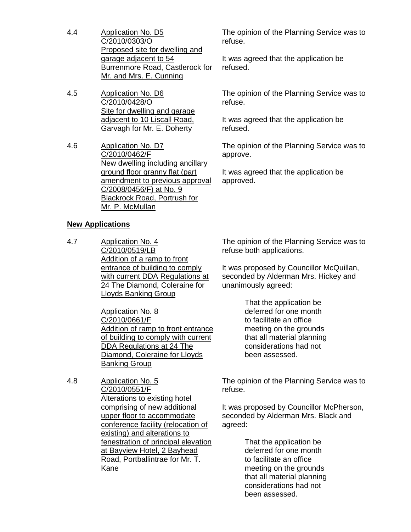- 4.4 Application No. D5 C/2010/0303/O Proposed site for dwelling and garage adjacent to 54 Burrenmore Road, Castlerock for Mr. and Mrs. E. Cunning
- 4.5 Application No. D6 C/2010/0428/O Site for dwelling and garage adjacent to 10 Liscall Road, Garvagh for Mr. E. Doherty
- 4.6 Application No. D7 C/2010/0462/F New dwelling including ancillary ground floor granny flat (part amendment to previous approval C/2008/0456/F) at No. 9 Blackrock Road, Portrush for Mr. P. McMullan

## **New Applications**

4.7 Application No. 4 C/2010/0519/LB Addition of a ramp to front entrance of building to comply with current DDA Regulations at 24 The Diamond, Coleraine for Lloyds Banking Group

> Application No. 8 C/2010/0661/F Addition of ramp to front entrance of building to comply with current DDA Regulations at 24 The Diamond, Coleraine for Lloyds Banking Group

4.8 Application No. 5 C/2010/0551/F Alterations to existing hotel comprising of new additional upper floor to accommodate conference facility (relocation of existing) and alterations to fenestration of principal elevation at Bayview Hotel, 2 Bayhead Road, Portballintrae for Mr. T. Kane

The opinion of the Planning Service was to refuse.

It was agreed that the application be refused.

The opinion of the Planning Service was to refuse.

It was agreed that the application be refused.

The opinion of the Planning Service was to approve.

It was agreed that the application be approved.

The opinion of the Planning Service was to refuse both applications.

It was proposed by Councillor McQuillan, seconded by Alderman Mrs. Hickey and unanimously agreed:

> That the application be deferred for one month to facilitate an office meeting on the grounds that all material planning considerations had not been assessed.

The opinion of the Planning Service was to refuse.

It was proposed by Councillor McPherson, seconded by Alderman Mrs. Black and agreed:

> That the application be deferred for one month to facilitate an office meeting on the grounds that all material planning considerations had not been assessed.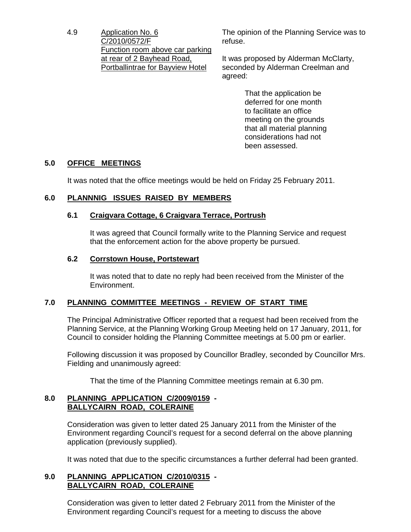4.9 Application No. 6 C/2010/0572/F Function room above car parking at rear of 2 Bayhead Road, Portballintrae for Bayview Hotel

The opinion of the Planning Service was to refuse.

It was proposed by Alderman McClarty, seconded by Alderman Creelman and agreed:

> That the application be deferred for one month to facilitate an office meeting on the grounds that all material planning considerations had not been assessed.

## **5.0 OFFICE MEETINGS**

It was noted that the office meetings would be held on Friday 25 February 2011.

## **6.0 PLANNNIG ISSUES RAISED BY MEMBERS**

## **6.1 Craigvara Cottage, 6 Craigvara Terrace, Portrush**

It was agreed that Council formally write to the Planning Service and request that the enforcement action for the above property be pursued.

## **6.2 Corrstown House, Portstewart**

 It was noted that to date no reply had been received from the Minister of the Environment.

## **7.0 PLANNING COMMITTEE MEETINGS - REVIEW OF START TIME**

 The Principal Administrative Officer reported that a request had been received from the Planning Service, at the Planning Working Group Meeting held on 17 January, 2011, for Council to consider holding the Planning Committee meetings at 5.00 pm or earlier.

 Following discussion it was proposed by Councillor Bradley, seconded by Councillor Mrs. Fielding and unanimously agreed:

That the time of the Planning Committee meetings remain at 6.30 pm.

## **8.0 PLANNING APPLICATION C/2009/0159 - BALLYCAIRN ROAD, COLERAINE**

 Consideration was given to letter dated 25 January 2011 from the Minister of the Environment regarding Council's request for a second deferral on the above planning application (previously supplied).

It was noted that due to the specific circumstances a further deferral had been granted.

## **9.0 PLANNING APPLICATION C/2010/0315 - BALLYCAIRN ROAD, COLERAINE**

 Consideration was given to letter dated 2 February 2011 from the Minister of the Environment regarding Council's request for a meeting to discuss the above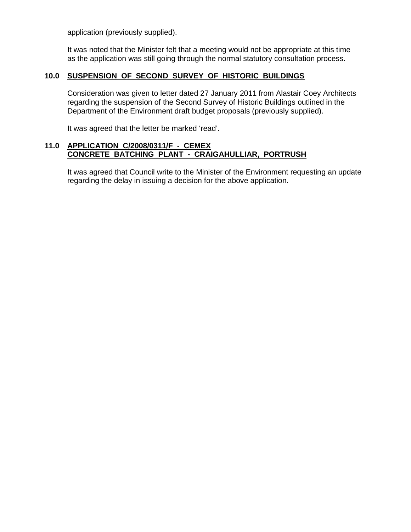application (previously supplied).

 It was noted that the Minister felt that a meeting would not be appropriate at this time as the application was still going through the normal statutory consultation process.

## **10.0 SUSPENSION OF SECOND SURVEY OF HISTORIC BUILDINGS**

 Consideration was given to letter dated 27 January 2011 from Alastair Coey Architects regarding the suspension of the Second Survey of Historic Buildings outlined in the Department of the Environment draft budget proposals (previously supplied).

It was agreed that the letter be marked 'read'.

#### **11.0 APPLICATION C/2008/0311/F - CEMEX CONCRETE BATCHING PLANT - CRAIGAHULLIAR, PORTRUSH**

 It was agreed that Council write to the Minister of the Environment requesting an update regarding the delay in issuing a decision for the above application.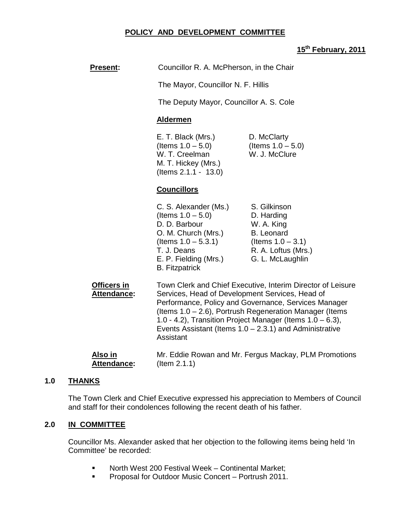## **POLICY AND DEVELOPMENT COMMITTEE**

## **15th February, 2011**

| <b>Present:</b>               | Councillor R. A. McPherson, in the Chair                                                                                                                                                                                                                                                                                                                                     |                                                                                                                                  |
|-------------------------------|------------------------------------------------------------------------------------------------------------------------------------------------------------------------------------------------------------------------------------------------------------------------------------------------------------------------------------------------------------------------------|----------------------------------------------------------------------------------------------------------------------------------|
|                               | The Mayor, Councillor N. F. Hillis                                                                                                                                                                                                                                                                                                                                           |                                                                                                                                  |
|                               | The Deputy Mayor, Councillor A. S. Cole                                                                                                                                                                                                                                                                                                                                      |                                                                                                                                  |
|                               | <b>Aldermen</b>                                                                                                                                                                                                                                                                                                                                                              |                                                                                                                                  |
|                               | E. T. Black (Mrs.)<br>(Items $1.0 - 5.0$ )<br>W. T. Creelman<br>M. T. Hickey (Mrs.)<br>(Items $2.1.1 - 13.0$ )                                                                                                                                                                                                                                                               | D. McClarty<br>(Items $1.0 - 5.0$ )<br>W. J. McClure                                                                             |
|                               | <b>Councillors</b>                                                                                                                                                                                                                                                                                                                                                           |                                                                                                                                  |
|                               | C. S. Alexander (Ms.)<br>(Items $1.0 - 5.0$ )<br>D. D. Barbour<br>O. M. Church (Mrs.)<br>(Items $1.0 - 5.3.1$ )<br>T. J. Deans<br>E. P. Fielding (Mrs.)<br><b>B.</b> Fitzpatrick                                                                                                                                                                                             | S. Gilkinson<br>D. Harding<br>W. A. King<br><b>B.</b> Leonard<br>(Items $1.0 - 3.1$ )<br>R. A. Loftus (Mrs.)<br>G. L. McLaughlin |
| Officers in<br>Attendance:    | Town Clerk and Chief Executive, Interim Director of Leisure<br>Services, Head of Development Services, Head of<br>Performance, Policy and Governance, Services Manager<br>(Items 1.0 – 2.6), Portrush Regeneration Manager (Items<br>1.0 - 4.2), Transition Project Manager (Items $1.0 - 6.3$ ),<br>Events Assistant (Items $1.0 - 2.3.1$ ) and Administrative<br>Assistant |                                                                                                                                  |
| Also in<br><b>Attendance:</b> | $($ ltem 2.1.1 $)$                                                                                                                                                                                                                                                                                                                                                           | Mr. Eddie Rowan and Mr. Fergus Mackay, PLM Promotions                                                                            |

## **1.0 THANKS**

The Town Clerk and Chief Executive expressed his appreciation to Members of Council and staff for their condolences following the recent death of his father.

## **2.0 IN COMMITTEE**

Councillor Ms. Alexander asked that her objection to the following items being held 'In Committee' be recorded:

- **North West 200 Festival Week Continental Market;**
- **Proposal for Outdoor Music Concert Portrush 2011.**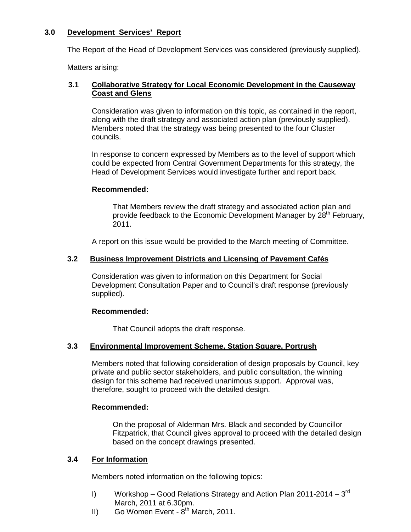## **3.0 Development Services' Report**

The Report of the Head of Development Services was considered (previously supplied).

Matters arising:

## **3.1 Collaborative Strategy for Local Economic Development in the Causeway Coast and Glens**

Consideration was given to information on this topic, as contained in the report, along with the draft strategy and associated action plan (previously supplied). Members noted that the strategy was being presented to the four Cluster councils.

In response to concern expressed by Members as to the level of support which could be expected from Central Government Departments for this strategy, the Head of Development Services would investigate further and report back.

## **Recommended:**

That Members review the draft strategy and associated action plan and provide feedback to the Economic Development Manager by 28<sup>th</sup> February, 2011.

A report on this issue would be provided to the March meeting of Committee.

## **3.2 Business Improvement Districts and Licensing of Pavement Cafés**

Consideration was given to information on this Department for Social Development Consultation Paper and to Council's draft response (previously supplied).

## **Recommended:**

That Council adopts the draft response.

## **3.3 Environmental Improvement Scheme, Station Square, Portrush**

Members noted that following consideration of design proposals by Council, key private and public sector stakeholders, and public consultation, the winning design for this scheme had received unanimous support. Approval was, therefore, sought to proceed with the detailed design.

## **Recommended:**

On the proposal of Alderman Mrs. Black and seconded by Councillor Fitzpatrick, that Council gives approval to proceed with the detailed design based on the concept drawings presented.

## **3.4 For Information**

Members noted information on the following topics:

- I) Workshop Good Relations Strategy and Action Plan 2011-2014  $3^{rd}$ March, 2011 at 6.30pm.
- II) Go Women Event  $8<sup>th</sup>$  March, 2011.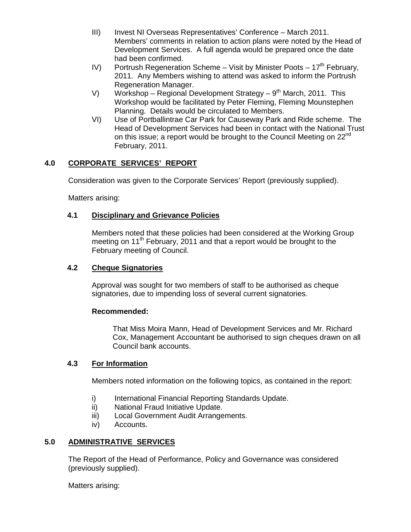- III) Invest NI Overseas Representatives' Conference March 2011. Members' comments in relation to action plans were noted by the Head of Development Services. A full agenda would be prepared once the date had been confirmed.
- IV) Portrush Regeneration Scheme Visit by Minister Poots  $17<sup>th</sup>$  February, 2011. Any Members wishing to attend was asked to inform the Portrush Regeneration Manager.
- V) Workshop Regional Development Strategy  $9<sup>th</sup>$  March, 2011. This Workshop would be facilitated by Peter Fleming, Fleming Mounstephen Planning. Details would be circulated to Members.
- VI) Use of Portballintrae Car Park for Causeway Park and Ride scheme. The Head of Development Services had been in contact with the National Trust on this issue; a report would be brought to the Council Meeting on  $22^{nd}$ February, 2011.

## **4.0 CORPORATE SERVICES' REPORT**

Consideration was given to the Corporate Services' Report (previously supplied).

Matters arising:

## **4.1 Disciplinary and Grievance Policies**

Members noted that these policies had been considered at the Working Group meeting on 11<sup>th</sup> February, 2011 and that a report would be brought to the February meeting of Council.

## **4.2 Cheque Signatories**

Approval was sought for two members of staff to be authorised as cheque signatories, due to impending loss of several current signatories.

## **Recommended:**

That Miss Moira Mann, Head of Development Services and Mr. Richard Cox, Management Accountant be authorised to sign cheques drawn on all Council bank accounts.

## **4.3 For Information**

Members noted information on the following topics, as contained in the report:

- i) International Financial Reporting Standards Update.
- ii) National Fraud Initiative Update.
- iii) Local Government Audit Arrangements.
- iv) Accounts.

## **5.0 ADMINISTRATIVE SERVICES**

The Report of the Head of Performance, Policy and Governance was considered (previously supplied).

Matters arising: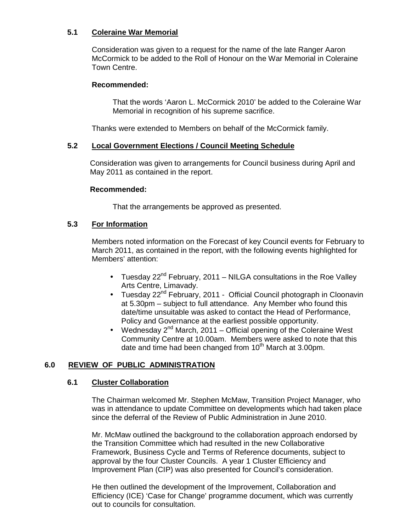## **5.1 Coleraine War Memorial**

Consideration was given to a request for the name of the late Ranger Aaron McCormick to be added to the Roll of Honour on the War Memorial in Coleraine Town Centre.

### **Recommended:**

That the words 'Aaron L. McCormick 2010' be added to the Coleraine War Memorial in recognition of his supreme sacrifice.

Thanks were extended to Members on behalf of the McCormick family.

## **5.2 Local Government Elections / Council Meeting Schedule**

 Consideration was given to arrangements for Council business during April and May 2011 as contained in the report.

#### **Recommended:**

That the arrangements be approved as presented.

## **5.3 For Information**

 Members noted information on the Forecast of key Council events for February to March 2011, as contained in the report, with the following events highlighted for Members' attention:

- Tuesday  $22^{nd}$  February, 2011 NILGA consultations in the Roe Valley Arts Centre, Limavady.
- Tuesday 22<sup>nd</sup> February, 2011 Official Council photograph in Cloonavin at 5.30pm – subject to full attendance. Any Member who found this date/time unsuitable was asked to contact the Head of Performance, Policy and Governance at the earliest possible opportunity.
- Wednesday  $2^{nd}$  March, 2011 Official opening of the Coleraine West Community Centre at 10.00am. Members were asked to note that this date and time had been changed from  $10<sup>th</sup>$  March at 3.00pm.

## **6.0 REVIEW OF PUBLIC ADMINISTRATION**

## **6.1 Cluster Collaboration**

The Chairman welcomed Mr. Stephen McMaw, Transition Project Manager, who was in attendance to update Committee on developments which had taken place since the deferral of the Review of Public Administration in June 2010.

Mr. McMaw outlined the background to the collaboration approach endorsed by the Transition Committee which had resulted in the new Collaborative Framework, Business Cycle and Terms of Reference documents, subject to approval by the four Cluster Councils. A year 1 Cluster Efficiency and Improvement Plan (CIP) was also presented for Council's consideration.

He then outlined the development of the Improvement, Collaboration and Efficiency (ICE) 'Case for Change' programme document, which was currently out to councils for consultation.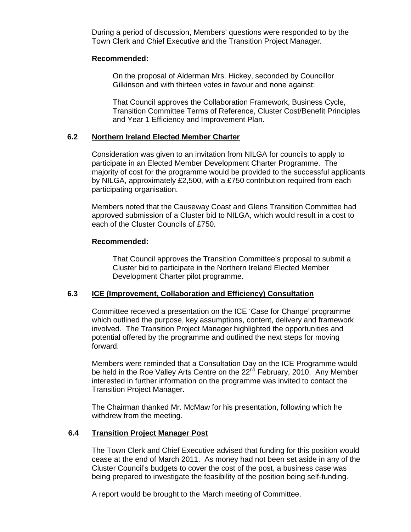During a period of discussion, Members' questions were responded to by the Town Clerk and Chief Executive and the Transition Project Manager.

#### **Recommended:**

On the proposal of Alderman Mrs. Hickey, seconded by Councillor Gilkinson and with thirteen votes in favour and none against:

 That Council approves the Collaboration Framework, Business Cycle, Transition Committee Terms of Reference, Cluster Cost/Benefit Principles and Year 1 Efficiency and Improvement Plan.

#### **6.2 Northern Ireland Elected Member Charter**

Consideration was given to an invitation from NILGA for councils to apply to participate in an Elected Member Development Charter Programme. The majority of cost for the programme would be provided to the successful applicants by NILGA, approximately £2,500, with a £750 contribution required from each participating organisation.

Members noted that the Causeway Coast and Glens Transition Committee had approved submission of a Cluster bid to NILGA, which would result in a cost to each of the Cluster Councils of £750.

#### **Recommended:**

 That Council approves the Transition Committee's proposal to submit a Cluster bid to participate in the Northern Ireland Elected Member Development Charter pilot programme.

#### **6.3 ICE (Improvement, Collaboration and Efficiency) Consultation**

Committee received a presentation on the ICE 'Case for Change' programme which outlined the purpose, key assumptions, content, delivery and framework involved. The Transition Project Manager highlighted the opportunities and potential offered by the programme and outlined the next steps for moving forward.

Members were reminded that a Consultation Day on the ICE Programme would be held in the Roe Valley Arts Centre on the 22<sup>nd</sup> February, 2010. Any Member interested in further information on the programme was invited to contact the Transition Project Manager.

The Chairman thanked Mr. McMaw for his presentation, following which he withdrew from the meeting.

#### **6.4 Transition Project Manager Post**

 The Town Clerk and Chief Executive advised that funding for this position would cease at the end of March 2011. As money had not been set aside in any of the Cluster Council's budgets to cover the cost of the post, a business case was being prepared to investigate the feasibility of the position being self-funding.

A report would be brought to the March meeting of Committee.